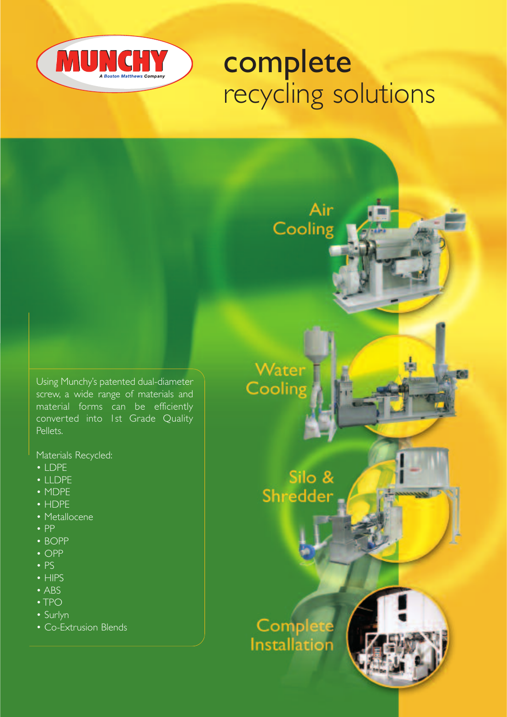

## complete recycling solutions

Using Munchy's patented dual-diameter screw, a wide range of materials and material forms can be efficiently converted into 1st Grade Quality Pellets.

Materials Recycled:

- LDPE
- LLDPE
- MDPE
- HDPE
- Metallocene
- PP
- BOPP
- OPP
- PS
- HIPS
- ABS
- TPO
- Surlyn
- Co-Extrusion Blends



Air<br>Cooling

Silo &<br>Shredder

#### Complete **Installation**

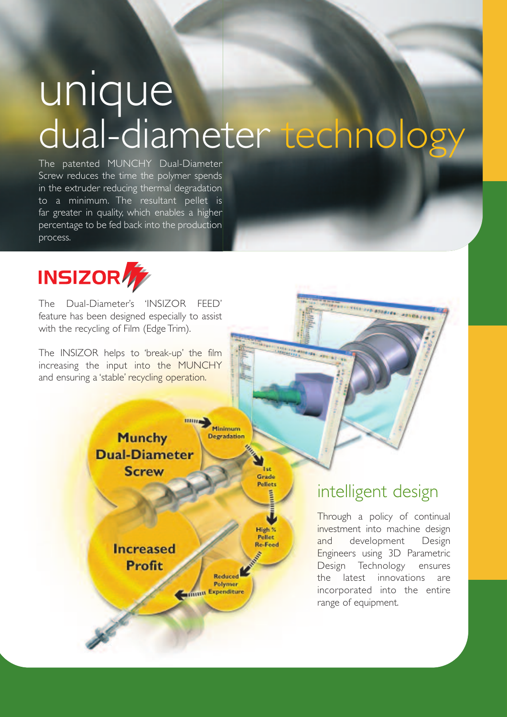# unique dual-diameter technology

The patented MUNCHY Dual-Diameter Screw reduces the time the polymer spends in the extruder reducing thermal degradation to a minimum. The resultant pellet is far greater in quality, which enables a higher percentage to be fed back into the production process.



The Dual-Diameter's 'INSIZOR FEED' feature has been designed especially to assist with the recycling of Film (Edge Trim).

The INSIZOR helps to 'break-up' the film increasing the input into the MUNCHY and ensuring a 'stable' recycling operation.

> **Munchy Dual-Diameter Screw**

> > **Increased** Profit

Reduced

Minimum

**Depradation** 

Grade **Pellets** 

High % Pellet Re-Feed

**UNITE** 

Polymer Polymer<br>Expenditure

#### intelligent design

Kita ara dangan

Through a policy of continual investment into machine design and development Design Engineers using 3D Parametric Design Technology ensures the latest innovations are incorporated into the entire range of equipment.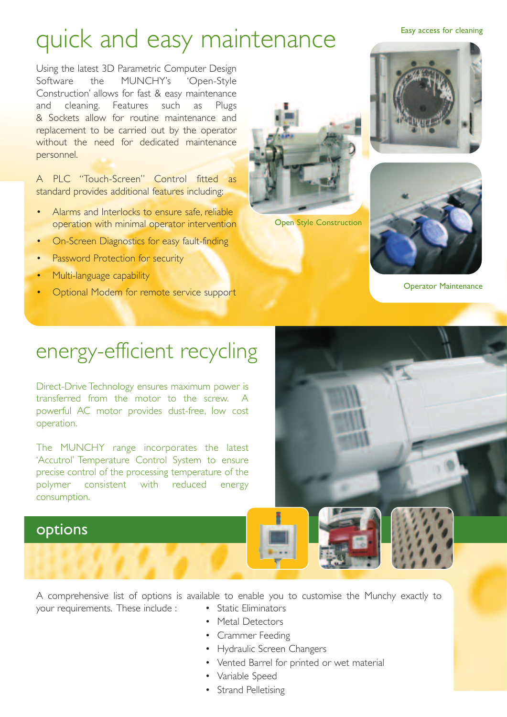### quick and easy maintenance Easy access for cleaning

Using the latest 3D Parametric Computer Design Software the MUNCHY's 'Open-Style Construction' allows for fast & easy maintenance and cleaning. Features such as Plugs & Sockets allow for routine maintenance and replacement to be carried out by the operator without the need for dedicated maintenance personnel.

A PLC "Touch-Screen" Control fitted as standard provides additional features including:

- Alarms and Interlocks to ensure safe, reliable operation with minimal operator intervention
- On-Screen Diagnostics for easy fault-finding
- Password Protection for security
- Multi-language capability
- Optional Modem for remote service support



Open Style Construction





Operator Maintenance

### energy-efficient recycling

Direct-Drive Technology ensures maximum power is transferred from the motor to the screw. A powerful AC motor provides dust-free, low cost operation.

The MUNCHY range incorporates the latest 'Accutrol' Temperature Control System to ensure precise control of the processing temperature of the polymer consistent with reduced energy consumption.

#### options

A comprehensive list of options is available to enable you to customise the Munchy exactly to your requirements. These include : • Static Eliminators

- Metal Detectors
- Crammer Feeding
- Hydraulic Screen Changers
- Vented Barrel for printed or wet material
- Variable Speed
- **Strand Pelletising**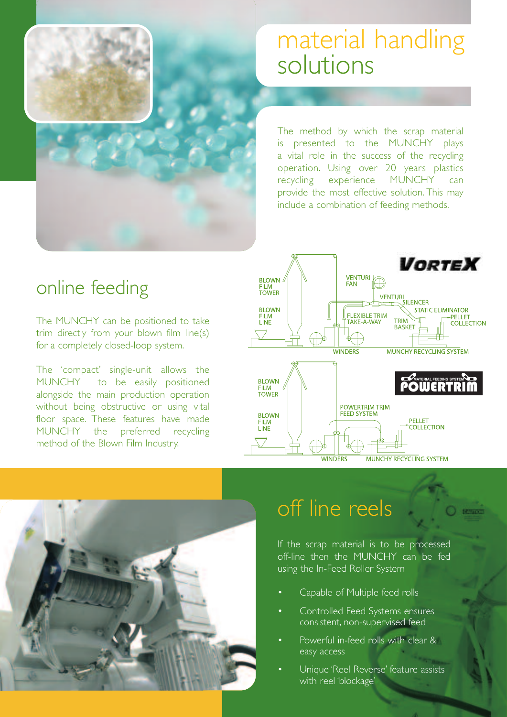

### material handling solutions

The method by which the scrap material is presented to the MUNCHY plays a vital role in the success of the recycling operation. Using over 20 years plastics recycling experience MUNCHY can provide the most effective solution. This may include a combination of feeding methods.





The MUNCHY can be positioned to take trim directly from your blown film line(s) for a completely closed-loop system.

The 'compact' single-unit allows the MUNCHY to be easily positioned alongside the main production operation without being obstructive or using vital floor space. These features have made MUNCHY the preferred recycling method of the Blown Film Industry.



### off line reels

**BULLET** 

If the scrap material is to be processed off-line then the MUNCHY can be fed using the In-Feed Roller System

- Capable of Multiple feed rolls
- Controlled Feed Systems ensures consistent, non-supervised feed
- Powerful in-feed rolls with clear & easy access
- Unique 'Reel Reverse' feature assists with reel 'blockage'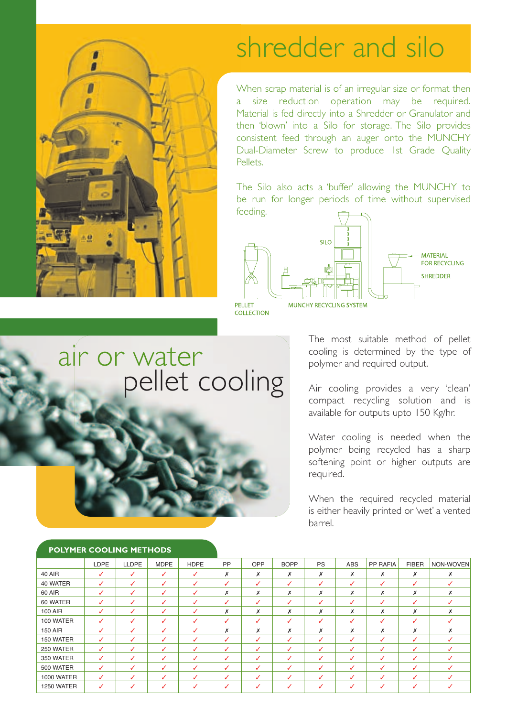

### shredder and silo

When scrap material is of an irregular size or format then a size reduction operation may be required. Material is fed directly into a Shredder or Granulator and then 'blown' into a Silo for storage. The Silo provides consistent feed through an auger onto the MUNCHY Dual-Diameter Screw to produce 1st Grade Quality Pellets.

The Silo also acts a 'buffer' allowing the MUNCHY to be run for longer periods of time without supervised feeding.



**COLLECTION** 

air or water pellet cooling The most suitable method of pellet cooling is determined by the type of polymer and required output.

Air cooling provides a very 'clean' compact recycling solution and is available for outputs upto 150 Kg/hr.

Water cooling is needed when the polymer being recycled has a sharp softening point or higher outputs are required.

When the required recycled material is either heavily printed or 'wet' a vented barrel.

| <b>POLYMER COOLING METHODS</b> |      |              |             |             |    |     |             |           |            |          |              |           |
|--------------------------------|------|--------------|-------------|-------------|----|-----|-------------|-----------|------------|----------|--------------|-----------|
|                                | LDPE | <b>LLDPE</b> | <b>MDPE</b> | <b>HDPE</b> | PP | OPP | <b>BOPP</b> | <b>PS</b> | <b>ABS</b> | PP RAFIA | <b>FIBER</b> | NON-WOVEN |
| 40 AIR                         | J    | ✓            | ℐ           | ℐ           | Х  | х   | х           | Х         | х          | х        | х            | х         |
| 40 WATER                       | ✓    | ✓            | ✓           | ✓           | ✓  | ✓   | ✓           | ✓         | ✓          | ✓        |              |           |
| 60 AIR                         | ✓    | ✓            | ✓           | ✓           | X  | х   | X           | х         | х          | Х        | Х            |           |
| 60 WATER                       | ✓    | ✓            | ✓           | ℐ           | ✓  | ✓   | ✓           | J         | ✓          | ✓        |              |           |
| 100 AIR                        | ℐ    | ✓            | ℐ           | ℐ           | X  | Х   | x           | х         | х          | х        | х            |           |
| 100 WATER                      | ✓    | ✓            | ℐ           | ℐ           | J  | ℐ   | ✓           | J         | ✓          | J        |              |           |
| <b>150 AIR</b>                 | ✓    | ✓            | ✓           | ✓           | х  | х   | х           | Х         | х          | х        | х            | х         |
| 150 WATER                      | ✓    | ✓            | ✓           | ℐ           | ✓  | √   | ✓           | ℐ         | ✓          | ✓        | ℐ            |           |
| 250 WATER                      | ✓    | ✓            | ✓           | ✓           | ✓  | ✓   | ✓           | ✓         | ✓          | ✓        | ℐ            |           |
| 350 WATER                      | ✓    | ✓            | ✓           | ℐ           | J  | ✓   | ✓           | ℐ         | ✓          | ✓        | ℐ            |           |
| 500 WATER                      | ℐ    | ✓            | ✓           | ℐ           | J  | ℐ   | ✓           | ℐ         | ✓          | ✓        |              |           |
| <b>1000 WATER</b>              | ✓    | ✓            | ✓           | ℐ           | ✓  | J   | ✓           | ℐ         | ℐ          | ✓        |              |           |
| 1250 WATER                     | ✓    | ✓            | ✓           | ✓           | √  | ✓   | ✓           | ℐ         | ✓          | ✓        |              |           |

#### **POLYMER COOLING METHODS**